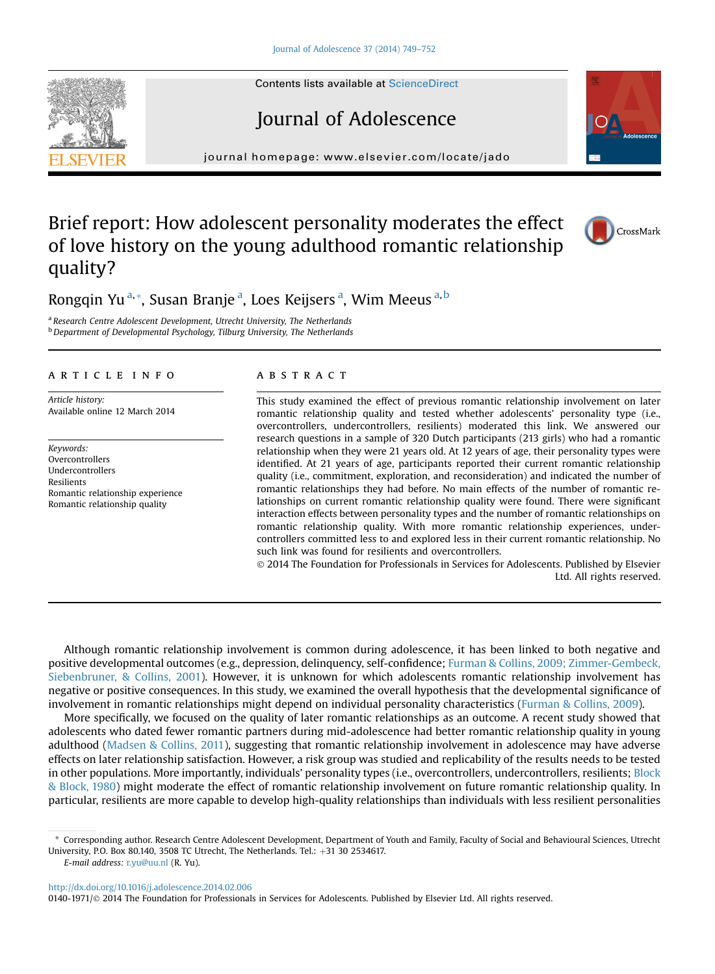Contents lists available at [ScienceDirect](www.sciencedirect.com/science/journal/01401971)

# Journal of Adolescence

journal homepage: [www.elsevier.com/locate/jado](http://www.elsevier.com/locate/jado)

## Brief report: How adolescent personality moderates the effect of love history on the young adulthood romantic relationship quality?

Rongqin Yu<sup>a,</sup>\*, Susan Branje<sup>a</sup>, Loes Keijsers<sup>a</sup>, Wim Meeus<sup>a,b</sup>

<sup>a</sup> Research Centre Adolescent Development, Utrecht University, The Netherlands <sup>b</sup> Department of Developmental Psychology, Tilburg University, The Netherlands

## article info

Article history: Available online 12 March 2014

Keywords: **Overcontrollers** Undercontrollers Resilients Romantic relationship experience Romantic relationship quality

## **ABSTRACT**

This study examined the effect of previous romantic relationship involvement on later romantic relationship quality and tested whether adolescents' personality type (i.e., overcontrollers, undercontrollers, resilients) moderated this link. We answered our research questions in a sample of 320 Dutch participants (213 girls) who had a romantic relationship when they were 21 years old. At 12 years of age, their personality types were identified. At 21 years of age, participants reported their current romantic relationship quality (i.e., commitment, exploration, and reconsideration) and indicated the number of romantic relationships they had before. No main effects of the number of romantic relationships on current romantic relationship quality were found. There were significant interaction effects between personality types and the number of romantic relationships on romantic relationship quality. With more romantic relationship experiences, undercontrollers committed less to and explored less in their current romantic relationship. No such link was found for resilients and overcontrollers.

 2014 The Foundation for Professionals in Services for Adolescents. Published by Elsevier Ltd. All rights reserved.

Although romantic relationship involvement is common during adolescence, it has been linked to both negative and positive developmental outcomes (e.g., depression, delinquency, self-confidence; [Furman & Collins, 2009; Zimmer-Gembeck,](#page-3-0) [Siebenbruner, & Collins, 2001](#page-3-0)). However, it is unknown for which adolescents romantic relationship involvement has negative or positive consequences. In this study, we examined the overall hypothesis that the developmental significance of involvement in romantic relationships might depend on individual personality characteristics [\(Furman & Collins, 2009](#page-3-0)).

More specifically, we focused on the quality of later romantic relationships as an outcome. A recent study showed that adolescents who dated fewer romantic partners during mid-adolescence had better romantic relationship quality in young adulthood [\(Madsen & Collins, 2011\)](#page-3-0), suggesting that romantic relationship involvement in adolescence may have adverse effects on later relationship satisfaction. However, a risk group was studied and replicability of the results needs to be tested in other populations. More importantly, individuals' personality types (i.e., overcontrollers, undercontrollers, resilients; [Block](#page-3-0) [& Block, 1980](#page-3-0)) might moderate the effect of romantic relationship involvement on future romantic relationship quality. In particular, resilients are more capable to develop high-quality relationships than individuals with less resilient personalities

<http://dx.doi.org/10.1016/j.adolescence.2014.02.006>

0140-1971/@ 2014 The Foundation for Professionals in Services for Adolescents. Published by Elsevier Ltd. All rights reserved.







<sup>\*</sup> Corresponding author. Research Centre Adolescent Development, Department of Youth and Family, Faculty of Social and Behavioural Sciences, Utrecht University, P.O. Box 80.140, 3508 TC Utrecht, The Netherlands. Tel.:  $+31$  30 2534617.

E-mail address: [r.yu@uu.nl](mailto:r.yu@uu.nl) (R. Yu).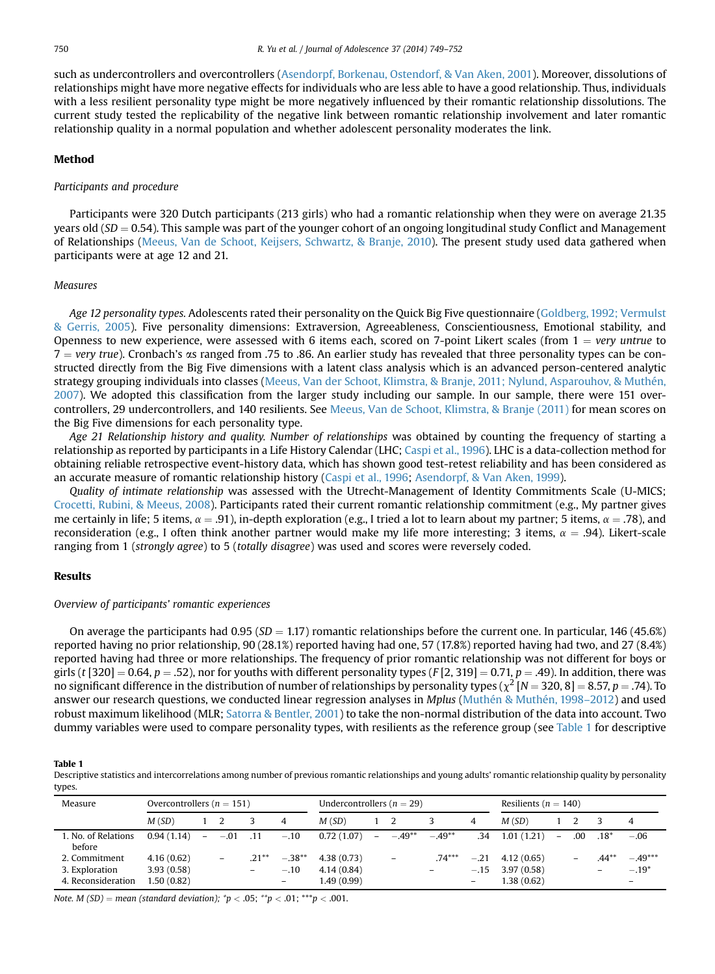such as undercontrollers and overcontrollers [\(Asendorpf, Borkenau, Ostendorf, & Van Aken, 2001](#page-3-0)). Moreover, dissolutions of relationships might have more negative effects for individuals who are less able to have a good relationship. Thus, individuals with a less resilient personality type might be more negatively influenced by their romantic relationship dissolutions. The current study tested the replicability of the negative link between romantic relationship involvement and later romantic relationship quality in a normal population and whether adolescent personality moderates the link.

## Method

## Participants and procedure

Participants were 320 Dutch participants (213 girls) who had a romantic relationship when they were on average 21.35 years old ( $SD = 0.54$ ). This sample was part of the younger cohort of an ongoing longitudinal study Conflict and Management of Relationships [\(Meeus, Van de Schoot, Keijsers, Schwartz, & Branje, 2010](#page-3-0)). The present study used data gathered when participants were at age 12 and 21.

## Measures

Age 12 personality types. Adolescents rated their personality on the Quick Big Five questionnaire ([Goldberg, 1992; Vermulst](#page-3-0) [& Gerris, 2005](#page-3-0)). Five personality dimensions: Extraversion, Agreeableness, Conscientiousness, Emotional stability, and Openness to new experience, were assessed with 6 items each, scored on 7-point Likert scales (from  $1 = \text{very}$ untrue to  $7 =$  very true). Cronbach's  $\alpha$ s ranged from .75 to .86. An earlier study has revealed that three personality types can be constructed directly from the Big Five dimensions with a latent class analysis which is an advanced person-centered analytic strategy grouping individuals into classes ([Meeus, Van der Schoot, Klimstra, & Branje, 2011; Nylund, Asparouhov, & Muthén,](#page-3-0) [2007](#page-3-0)). We adopted this classification from the larger study including our sample. In our sample, there were 151 overcontrollers, 29 undercontrollers, and 140 resilients. See [Meeus, Van de Schoot, Klimstra, & Branje \(2011\)](#page-3-0) for mean scores on the Big Five dimensions for each personality type.

Age 21 Relationship history and quality. Number of relationships was obtained by counting the frequency of starting a relationship as reported by participants in a Life History Calendar (LHC; [Caspi et al., 1996\)](#page-3-0). LHC is a data-collection method for obtaining reliable retrospective event-history data, which has shown good test-retest reliability and has been considered as an accurate measure of romantic relationship history ([Caspi et al., 1996;](#page-3-0) [Asendorpf, & Van Aken, 1999](#page-3-0)).

Quality of intimate relationship was assessed with the Utrecht-Management of Identity Commitments Scale (U-MICS; [Crocetti, Rubini, & Meeus, 2008](#page-3-0)). Participants rated their current romantic relationship commitment (e.g., My partner gives me certainly in life; 5 items,  $\alpha = .91$ ), in-depth exploration (e.g., I tried a lot to learn about my partner; 5 items,  $\alpha = .78$ ), and reconsideration (e.g., I often think another partner would make my life more interesting; 3 items,  $\alpha = .94$ ). Likert-scale ranging from 1 (strongly agree) to 5 (totally disagree) was used and scores were reversely coded.

#### Results

#### Overview of participants' romantic experiences

On average the participants had 0.95 ( $SD = 1.17$ ) romantic relationships before the current one. In particular, 146 (45.6%) reported having no prior relationship, 90 (28.1%) reported having had one, 57 (17.8%) reported having had two, and 27 (8.4%) reported having had three or more relationships. The frequency of prior romantic relationship was not different for boys or girls (t [320] = 0.64, p = .52), nor for youths with different personality types (F[2, 319] = 0.71, p = .49). In addition, there was no significant difference in the distribution of number of relationships by personality types ( $\chi^2$  [N = 320, 8] = 8.57, p = .74). To answer our research questions, we conducted linear regression analyses in Mplus ([Muthén & Muthén, 1998](#page-3-0)–2012) and used robust maximum likelihood (MLR; [Satorra & Bentler, 2001\)](#page-3-0) to take the non-normal distribution of the data into account. Two dummy variables were used to compare personality types, with resilients as the reference group (see Table 1 for descriptive

Table 1

Descriptive statistics and intercorrelations among number of previous romantic relationships and young adults' romantic relationship quality by personality types.

| Measure                       | Overcontrollers ( $n = 151$ ) |        |                          |                          | Undercontrollers ( $n = 29$ ) |             |        |                          | Resilients ( $n = 140$ ) |        |            |        |     |          |           |
|-------------------------------|-------------------------------|--------|--------------------------|--------------------------|-------------------------------|-------------|--------|--------------------------|--------------------------|--------|------------|--------|-----|----------|-----------|
|                               | M(SD)                         |        |                          |                          | 4                             | M(SD)       |        |                          |                          | 4      | M(SD)      |        |     |          | 4         |
| 1. No. of Relations<br>before | 0.94(1.14)                    | $\sim$ | $-.01$                   | .11                      | $-.10$                        | 0.72(1.07)  | $\sim$ | $-.49**$                 | $-.49**$                 | .34    | 1.01(1.21) | $\sim$ | .00 | $.18*$   | $-.06$    |
| 2. Commitment                 | 4.16(0.62)                    |        | $\overline{\phantom{m}}$ | $.21***$                 | $-.38**$                      | 4.38(0.73)  |        | $\overline{\phantom{m}}$ | $.74***$                 | $-.21$ | 4.12(0.65) |        |     | $.44***$ | $-.49***$ |
| 3. Exploration                | 3.93(0.58)                    |        |                          | $\overline{\phantom{0}}$ | $-.10$                        | 4.14(0.84)  |        |                          |                          | $-.15$ | 3.97(0.58) |        |     |          | $-.19*$   |
| 4. Reconsideration            | 1.50 (0.82)                   |        |                          |                          |                               | 1.49 (0.99) |        |                          |                          |        | 1.38(0.62) |        |     |          | -         |

Note. M (SD) = mean (standard deviation);  $\sp{\ast}p$  < .05;  $\sp{\ast}p$  < .01;  $\sp{\ast} \sp{\ast}p$  < .001.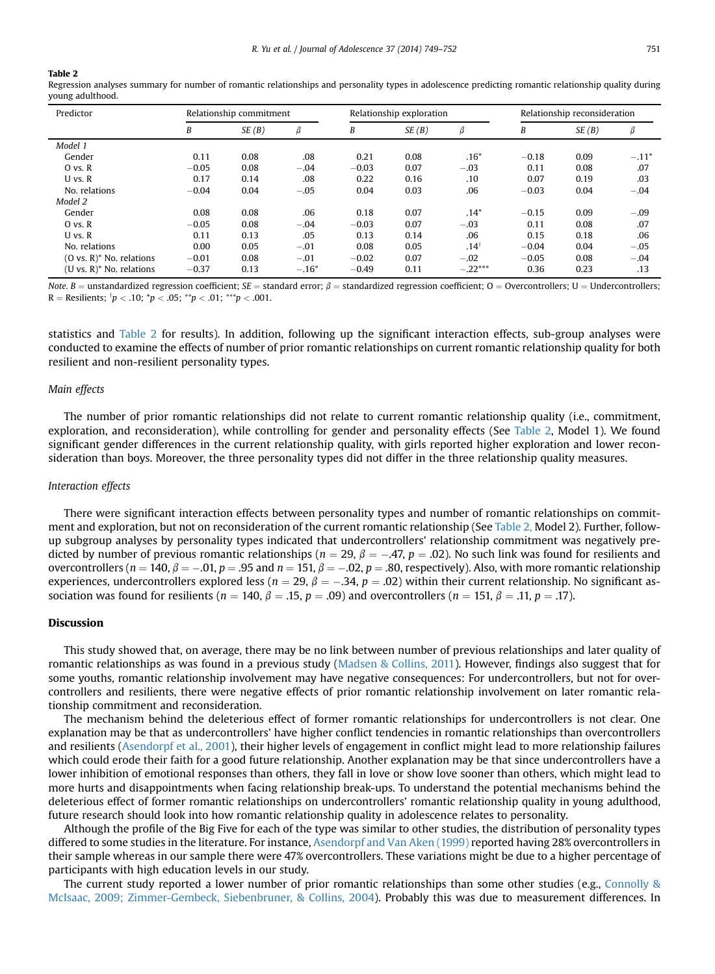#### Table 2

Regression analyses summary for number of romantic relationships and personality types in adolescence predicting romantic relationship quality during young adulthood.

| Predictor                   |         | Relationship commitment |         |         | Relationship exploration |                  | Relationship reconsideration |       |         |  |
|-----------------------------|---------|-------------------------|---------|---------|--------------------------|------------------|------------------------------|-------|---------|--|
|                             | B       | SE(B)                   | β       | B       | SE(B)                    | β                | B                            | SE(B) | β       |  |
| Model 1                     |         |                         |         |         |                          |                  |                              |       |         |  |
| Gender                      | 0.11    | 0.08                    | .08     | 0.21    | 0.08                     | $.16*$           | $-0.18$                      | 0.09  | $-.11*$ |  |
| $O$ vs. $R$                 | $-0.05$ | 0.08                    | $-.04$  | $-0.03$ | 0.07                     | $-.03$           | 0.11                         | 0.08  | .07     |  |
| $U$ vs. $R$                 | 0.17    | 0.14                    | .08     | 0.22    | 0.16                     | .10              | 0.07                         | 0.19  | .03     |  |
| No. relations               | $-0.04$ | 0.04                    | $-.05$  | 0.04    | 0.03                     | .06              | $-0.03$                      | 0.04  | $-.04$  |  |
| Model 2                     |         |                         |         |         |                          |                  |                              |       |         |  |
| Gender                      | 0.08    | 0.08                    | .06     | 0.18    | 0.07                     | $.14*$           | $-0.15$                      | 0.09  | $-.09$  |  |
| $O$ vs. $R$                 | $-0.05$ | 0.08                    | $-.04$  | $-0.03$ | 0.07                     | $-.03$           | 0.11                         | 0.08  | .07     |  |
| $U$ vs. $R$                 | 0.11    | 0.13                    | .05     | 0.13    | 0.14                     | .06              | 0.15                         | 0.18  | .06     |  |
| No. relations               | 0.00    | 0.05                    | $-.01$  | 0.08    | 0.05                     | .14 <sup>†</sup> | $-0.04$                      | 0.04  | $-.05$  |  |
| $(O vs. R)^*$ No. relations | $-0.01$ | 0.08                    | $-.01$  | $-0.02$ | 0.07                     | $-.02$           | $-0.05$                      | 0.08  | $-.04$  |  |
| $(U vs. R)^*$ No. relations | $-0.37$ | 0.13                    | $-.16*$ | $-0.49$ | 0.11                     | $-.22***$        | 0.36                         | 0.23  | .13     |  |

Note. B = unstandardized regression coefficient; SE = standard error;  $\beta$  = standardized regression coefficient; O = Overcontrollers; U = Undercontrollers;  $R =$  Resilients;  $p < .10$ ;  $p < .05$ ;  $p < .01$ ;  $p > .001$ .

statistics and Table 2 for results). In addition, following up the significant interaction effects, sub-group analyses were conducted to examine the effects of number of prior romantic relationships on current romantic relationship quality for both resilient and non-resilient personality types.

#### Main effects

The number of prior romantic relationships did not relate to current romantic relationship quality (i.e., commitment, exploration, and reconsideration), while controlling for gender and personality effects (See Table 2, Model 1). We found significant gender differences in the current relationship quality, with girls reported higher exploration and lower reconsideration than boys. Moreover, the three personality types did not differ in the three relationship quality measures.

## Interaction effects

There were significant interaction effects between personality types and number of romantic relationships on commitment and exploration, but not on reconsideration of the current romantic relationship (See Table 2, Model 2). Further, followup subgroup analyses by personality types indicated that undercontrollers' relationship commitment was negatively predicted by number of previous romantic relationships ( $n = 29$ ,  $\beta = -.47$ ,  $p = .02$ ). No such link was found for resilients and overcontrollers ( $n = 140$ ,  $\beta = -.01$ ,  $p = .95$  and  $n = 151$ ,  $\beta = -.02$ ,  $p = .80$ , respectively). Also, with more romantic relationship experiences, undercontrollers explored less ( $n = 29$ ,  $\beta = -.34$ ,  $p = .02$ ) within their current relationship. No significant association was found for resilients ( $n = 140$ ,  $\beta = .15$ ,  $p = .09$ ) and overcontrollers ( $n = 151$ ,  $\beta = .11$ ,  $p = .17$ ).

## Discussion

This study showed that, on average, there may be no link between number of previous relationships and later quality of romantic relationships as was found in a previous study [\(Madsen & Collins, 2011](#page-3-0)). However, findings also suggest that for some youths, romantic relationship involvement may have negative consequences: For undercontrollers, but not for overcontrollers and resilients, there were negative effects of prior romantic relationship involvement on later romantic relationship commitment and reconsideration.

The mechanism behind the deleterious effect of former romantic relationships for undercontrollers is not clear. One explanation may be that as undercontrollers' have higher conflict tendencies in romantic relationships than overcontrollers and resilients [\(Asendorpf et al., 2001\)](#page-3-0), their higher levels of engagement in conflict might lead to more relationship failures which could erode their faith for a good future relationship. Another explanation may be that since undercontrollers have a lower inhibition of emotional responses than others, they fall in love or show love sooner than others, which might lead to more hurts and disappointments when facing relationship break-ups. To understand the potential mechanisms behind the deleterious effect of former romantic relationships on undercontrollers' romantic relationship quality in young adulthood, future research should look into how romantic relationship quality in adolescence relates to personality.

Although the profile of the Big Five for each of the type was similar to other studies, the distribution of personality types differed to some studies in the literature. For instance, [Asendorpf and Van Aken \(1999\)](#page-3-0) reported having 28% overcontrollers in their sample whereas in our sample there were 47% overcontrollers. These variations might be due to a higher percentage of participants with high education levels in our study.

The current study reported a lower number of prior romantic relationships than some other studies (e.g., [Connolly &](#page-3-0) [McIsaac, 2009; Zimmer-Gembeck, Siebenbruner, & Collins, 2004](#page-3-0)). Probably this was due to measurement differences. In